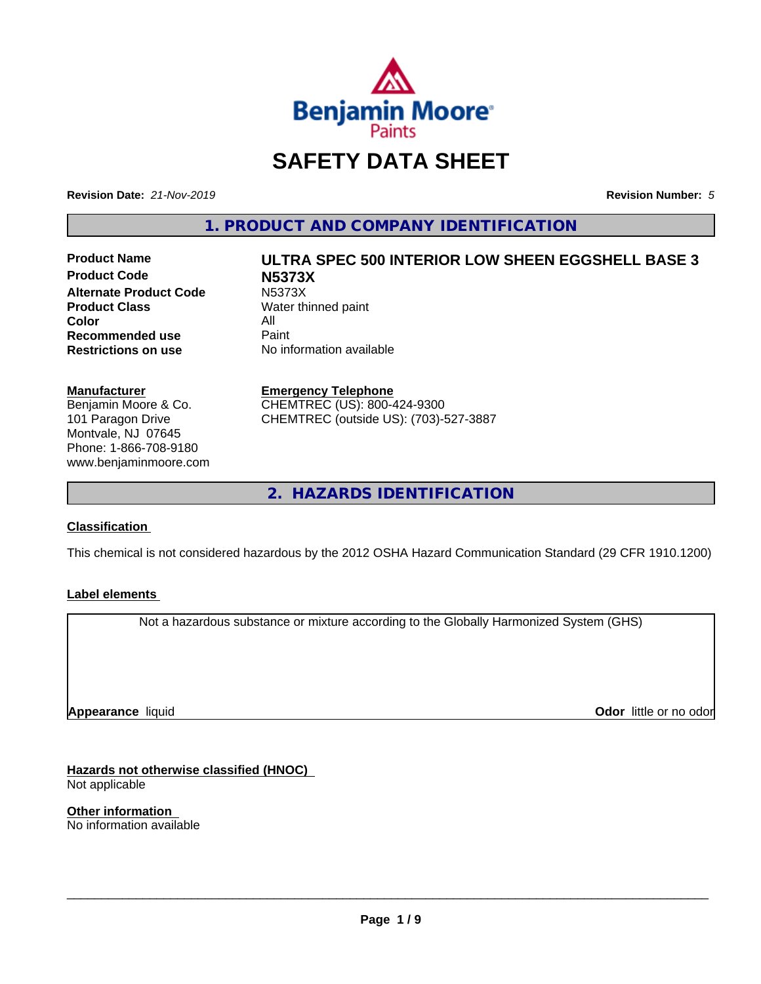

## **SAFETY DATA SHEET**

**Revision Date:** *21-Nov-2019* **Revision Number:** *5*

**1. PRODUCT AND COMPANY IDENTIFICATION**

**Product Code N5373X Alternate Product Code** N5373X<br> **Product Class** Water th **Color** All<br> **Recommended use** Paint **Recommended use**<br>Restrictions on use

## **Product Name ULTRA SPEC 500 INTERIOR LOW SHEEN EGGSHELL BASE 3 Water thinned paint**

**No information available** 

### **Manufacturer**

Benjamin Moore & Co. 101 Paragon Drive Montvale, NJ 07645 Phone: 1-866-708-9180 www.benjaminmoore.com

#### **Emergency Telephone**

CHEMTREC (US): 800-424-9300 CHEMTREC (outside US): (703)-527-3887

**2. HAZARDS IDENTIFICATION**

### **Classification**

This chemical is not considered hazardous by the 2012 OSHA Hazard Communication Standard (29 CFR 1910.1200)

### **Label elements**

Not a hazardous substance or mixture according to the Globally Harmonized System (GHS)

**Appearance** liquid

**Odor** little or no odor

**Hazards not otherwise classified (HNOC)** Not applicable

**Other information** No information available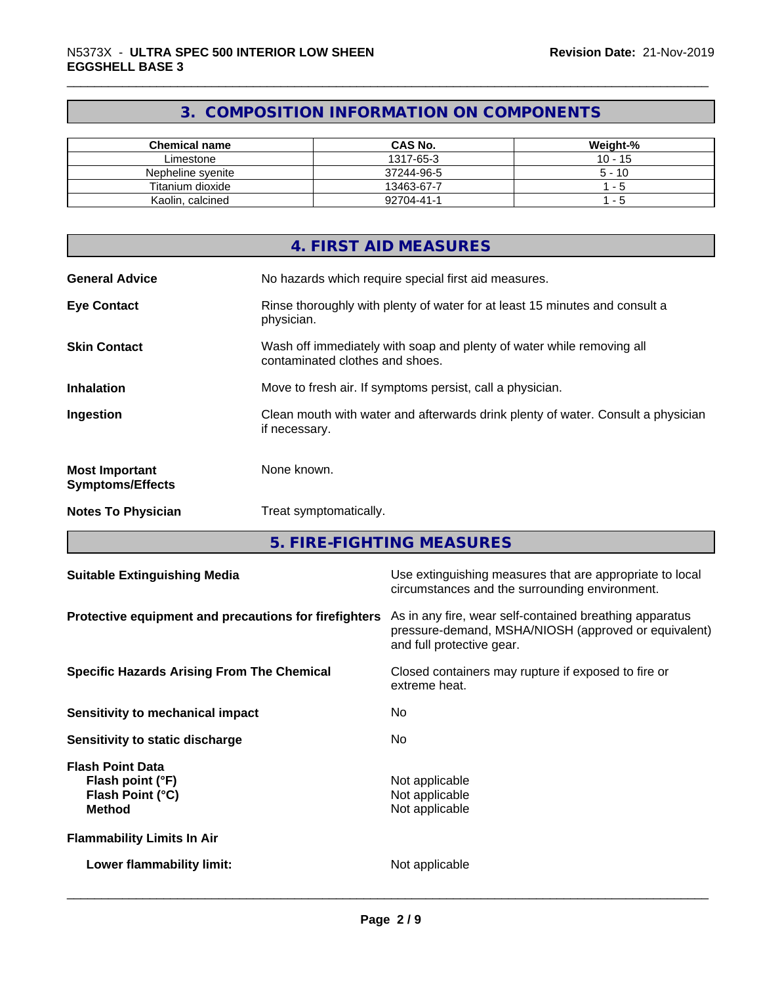### **3. COMPOSITION INFORMATION ON COMPONENTS**

| Chemical name     | <b>CAS No.</b> | Weight-%  |
|-------------------|----------------|-----------|
| Limestone         | 1317-65-3      | $10 - 15$ |
| Nepheline svenite | 37244-96-5     | $5 - 10$  |
| Titanium dioxide  | 13463-67-7     | - 5       |
| Kaolin, calcined  | 92704-41-1     | - 5       |

|                                                  | 4. FIRST AID MEASURES                                                                                    |
|--------------------------------------------------|----------------------------------------------------------------------------------------------------------|
| <b>General Advice</b>                            | No hazards which require special first aid measures.                                                     |
| <b>Eye Contact</b>                               | Rinse thoroughly with plenty of water for at least 15 minutes and consult a<br>physician.                |
| <b>Skin Contact</b>                              | Wash off immediately with soap and plenty of water while removing all<br>contaminated clothes and shoes. |
| <b>Inhalation</b>                                | Move to fresh air. If symptoms persist, call a physician.                                                |
| Ingestion                                        | Clean mouth with water and afterwards drink plenty of water. Consult a physician<br>if necessary.        |
| <b>Most Important</b><br><b>Symptoms/Effects</b> | None known.                                                                                              |
| <b>Notes To Physician</b>                        | Treat symptomatically.                                                                                   |

**5. FIRE-FIGHTING MEASURES**

| <b>Suitable Extinguishing Media</b>                                              | Use extinguishing measures that are appropriate to local<br>circumstances and the surrounding environment.                                   |
|----------------------------------------------------------------------------------|----------------------------------------------------------------------------------------------------------------------------------------------|
| Protective equipment and precautions for firefighters                            | As in any fire, wear self-contained breathing apparatus<br>pressure-demand, MSHA/NIOSH (approved or equivalent)<br>and full protective gear. |
| <b>Specific Hazards Arising From The Chemical</b>                                | Closed containers may rupture if exposed to fire or<br>extreme heat.                                                                         |
| Sensitivity to mechanical impact                                                 | No.                                                                                                                                          |
| Sensitivity to static discharge                                                  | No.                                                                                                                                          |
| <b>Flash Point Data</b><br>Flash point (°F)<br>Flash Point (°C)<br><b>Method</b> | Not applicable<br>Not applicable<br>Not applicable                                                                                           |
| <b>Flammability Limits In Air</b>                                                |                                                                                                                                              |
| Lower flammability limit:                                                        | Not applicable                                                                                                                               |
|                                                                                  |                                                                                                                                              |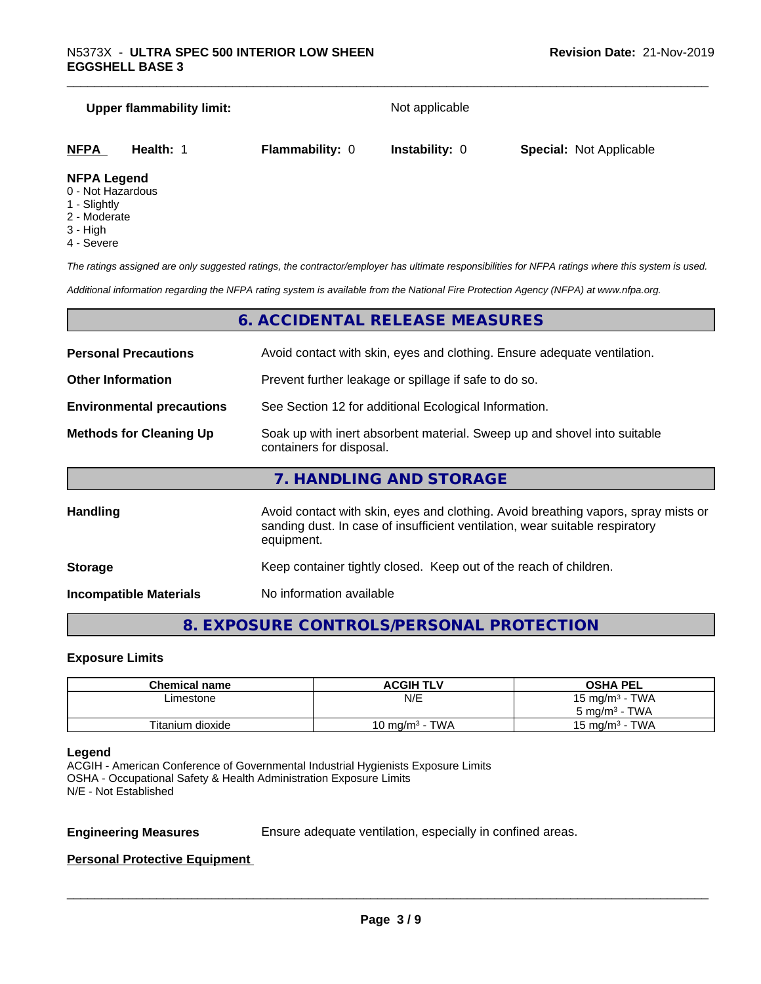# **Upper flammability limit:** Not applicable **NFPA Health:** 1 **Flammability:** 0 **Instability:** 0 **Special:** Not Applicable

#### **NFPA Legend**

- 0 Not Hazardous
- 1 Slightly
- 2 Moderate
- 3 High
- 4 Severe

*The ratings assigned are only suggested ratings, the contractor/employer has ultimate responsibilities for NFPA ratings where this system is used.*

*Additional information regarding the NFPA rating system is available from the National Fire Protection Agency (NFPA) at www.nfpa.org.*

### **6. ACCIDENTAL RELEASE MEASURES**

| <b>Personal Precautions</b>                                                       | Avoid contact with skin, eyes and clothing. Ensure adequate ventilation.                                                                                                         |  |
|-----------------------------------------------------------------------------------|----------------------------------------------------------------------------------------------------------------------------------------------------------------------------------|--|
| Prevent further leakage or spillage if safe to do so.<br><b>Other Information</b> |                                                                                                                                                                                  |  |
| <b>Environmental precautions</b>                                                  | See Section 12 for additional Ecological Information.                                                                                                                            |  |
| <b>Methods for Cleaning Up</b>                                                    | Soak up with inert absorbent material. Sweep up and shovel into suitable<br>containers for disposal.                                                                             |  |
|                                                                                   | 7. HANDLING AND STORAGE                                                                                                                                                          |  |
| <b>Handling</b>                                                                   | Avoid contact with skin, eyes and clothing. Avoid breathing vapors, spray mists or<br>sanding dust. In case of insufficient ventilation, wear suitable respiratory<br>equipment. |  |
| <b>Storage</b>                                                                    | Keep container tightly closed. Keep out of the reach of children.                                                                                                                |  |

**Incompatible Materials** No information available

### **8. EXPOSURE CONTROLS/PERSONAL PROTECTION**

### **Exposure Limits**

| <b>Chemical name</b> | <b>ACGIH TLV</b>           | <b>OSHA PEL</b>          |
|----------------------|----------------------------|--------------------------|
| Limestone            | N/E                        | 15 mg/m $3$ - TWA        |
|                      |                            | $5 \text{ mg/m}^3$ - TWA |
| Titanium dioxide     | 10 mg/m <sup>3</sup> - TWA | 15 mg/m $3$ - TWA        |

### **Legend**

ACGIH - American Conference of Governmental Industrial Hygienists Exposure Limits OSHA - Occupational Safety & Health Administration Exposure Limits N/E - Not Established

**Engineering Measures** Ensure adequate ventilation, especially in confined areas.

 $\overline{\phantom{a}}$  ,  $\overline{\phantom{a}}$  ,  $\overline{\phantom{a}}$  ,  $\overline{\phantom{a}}$  ,  $\overline{\phantom{a}}$  ,  $\overline{\phantom{a}}$  ,  $\overline{\phantom{a}}$  ,  $\overline{\phantom{a}}$  ,  $\overline{\phantom{a}}$  ,  $\overline{\phantom{a}}$  ,  $\overline{\phantom{a}}$  ,  $\overline{\phantom{a}}$  ,  $\overline{\phantom{a}}$  ,  $\overline{\phantom{a}}$  ,  $\overline{\phantom{a}}$  ,  $\overline{\phantom{a}}$ 

### **Personal Protective Equipment**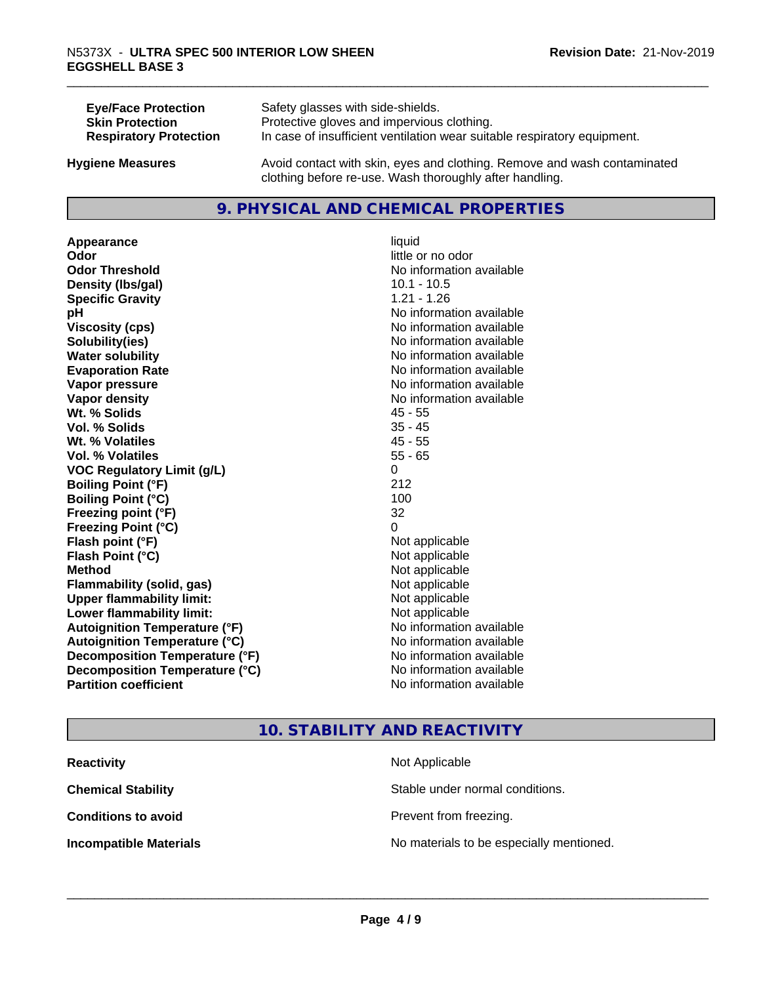| <b>Eye/Face Protection</b>    | Safety glasses with side-shields.                                        |
|-------------------------------|--------------------------------------------------------------------------|
| <b>Skin Protection</b>        | Protective gloves and impervious clothing.                               |
| <b>Respiratory Protection</b> | In case of insufficient ventilation wear suitable respiratory equipment. |
| <b>Hygiene Measures</b>       | Avoid contact with skin, eyes and clothing. Remove and wash contaminated |

### **9. PHYSICAL AND CHEMICAL PROPERTIES**

clothing before re-use. Wash thoroughly after handling.

**Appearance** liquid **Odor Odor Odor Odor Odor** *CODOR CODOR CODOR CODOR CODOR CODOR CODOR CODOR CODOR CODOR CODOR CODOR CODOR CODOR CODOR CODOR CODOR CODOR CODOR* **Odor Threshold No information available No information available Density (Ibs/gal)** 10.1 - 10.5 **Specific Gravity** 1.21 - 1.26 **pH** No information available **Viscosity (cps)** No information available **Solubility(ies)** No information available **Water solubility Water solubility Water solubility Water solubility Water solubility Water solution Evaporation Rate No information available No information available Vapor pressure** No information available **No information** available **Vapor density Vapor density No information available Wt. % Solids** 45 - 55 **Vol. % Solids** 35 - 45 **Wt. % Volatiles** 45 - 55 **Vol. % Volatiles** 55 - 65 **VOC Regulatory Limit (g/L)** 0 **Boiling Point (°F)** 212 **Boiling Point (°C)** 100 **Freezing point (°F)** 32 **Freezing Point (°C)** 0 **Flash point (°F)** Not applicable **Flash Point (°C) Method** Not applicable **Flammability (solid, gas)** Not applicable **Upper flammability limit:** Not applicable **Lower flammability limit:** Not applicable **Autoignition Temperature (°F)** No information available **Autoignition Temperature (°C)** No information available **Decomposition Temperature (°F)** No information available **Decomposition Temperature (°C)**<br> **Partition coefficient Partition coefficient 1 Partition available No information available** 

**No information available** 

### **10. STABILITY AND REACTIVITY**

| <b>Reactivity</b>             | Not Applicable                           |
|-------------------------------|------------------------------------------|
| <b>Chemical Stability</b>     | Stable under normal conditions.          |
| <b>Conditions to avoid</b>    | Prevent from freezing.                   |
| <b>Incompatible Materials</b> | No materials to be especially mentioned. |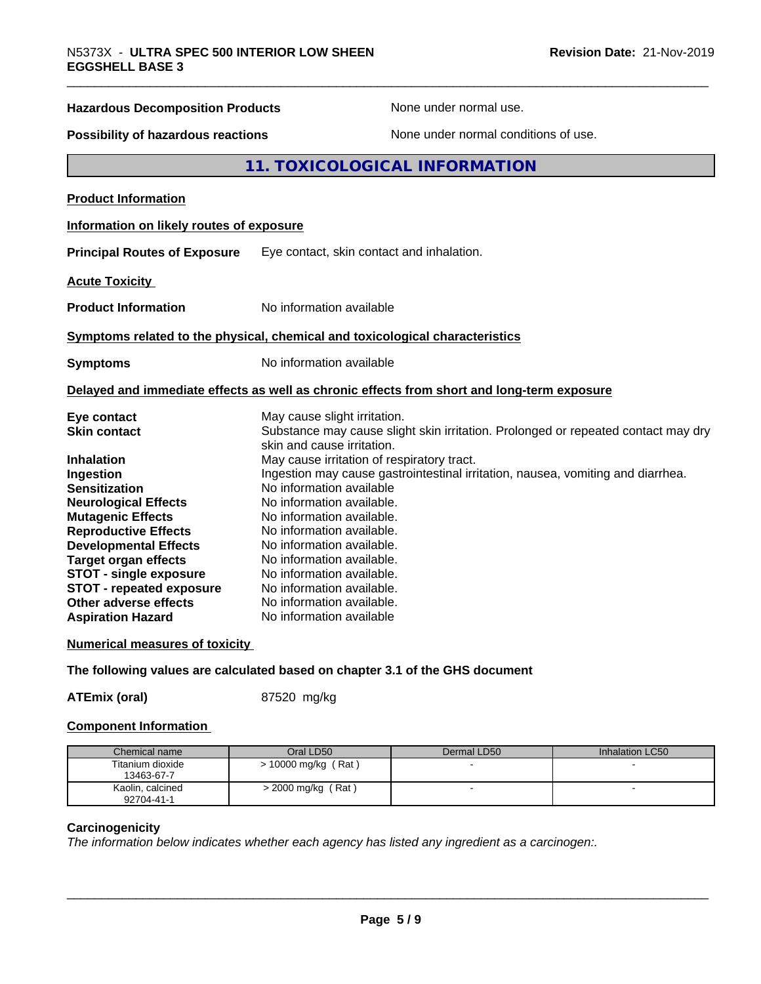## **Hazardous Decomposition Products** None under normal use. **Possibility of hazardous reactions** None under normal conditions of use. **11. TOXICOLOGICAL INFORMATION Product Information Information on likely routes of exposure Principal Routes of Exposure** Eye contact, skin contact and inhalation. **Acute Toxicity Product Information** No information available **Symptoms related to the physical,chemical and toxicological characteristics Symptoms** No information available **Delayed and immediate effects as well as chronic effects from short and long-term exposure Eye contact Execution Contact May cause slight irritation.**<br> **Substance may cause slight in the Substance may cause slight** Substance may cause slight skin irritation. Prolonged or repeated contact may dry skin and cause irritation. **Inhalation** May cause irritation of respiratory tract. **Ingestion Ingestion may cause gastrointestinal irritation**, nausea, vomiting and diarrhea. **Sensitization** No information available **Neurological Effects** No information available. **Mutagenic Effects** No information available. **Reproductive Effects** No information available. **Developmental Effects** No information available. **Target organ effects** No information available. **STOT - single exposure** No information available.<br>**STOT - repeated exposure** No information available.

### **Other adverse effects Aspiration Hazard** No information available

**STOT - repeated exposure** No information available.<br> **Other adverse effects** No information available.

### **Numerical measures of toxicity**

### **The following values are calculated based on chapter 3.1 of the GHS document**

**ATEmix (oral)** 87520 mg/kg

### **Component Information**

| Chemical name    | Oral LD50             | Dermal LD50 | Inhalation LC50 |
|------------------|-----------------------|-------------|-----------------|
| Titanium dioxide | $> 10000$ mg/kg (Rat) |             |                 |
| 13463-67-7       |                       |             |                 |
| Kaolin, calcined | > 2000 mg/kg (Rat)    |             |                 |
| 92704-41-1       |                       |             |                 |

### **Carcinogenicity**

*The information below indicateswhether each agency has listed any ingredient as a carcinogen:.*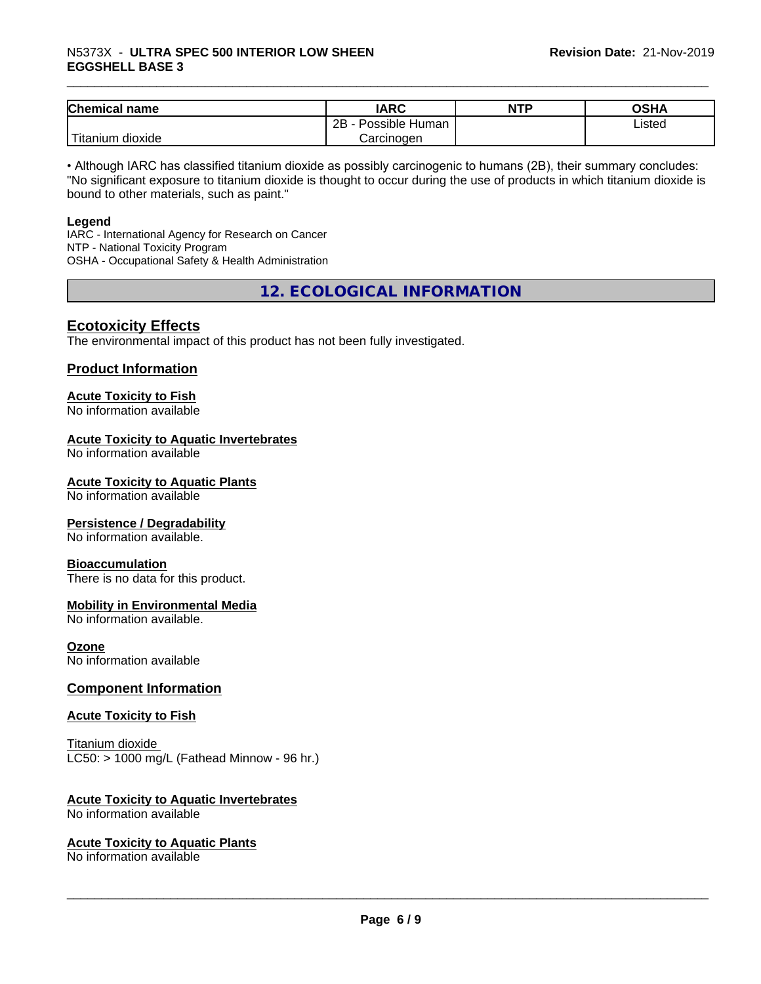### \_\_\_\_\_\_\_\_\_\_\_\_\_\_\_\_\_\_\_\_\_\_\_\_\_\_\_\_\_\_\_\_\_\_\_\_\_\_\_\_\_\_\_\_\_\_\_\_\_\_\_\_\_\_\_\_\_\_\_\_\_\_\_\_\_\_\_\_\_\_\_\_\_\_\_\_\_\_\_\_\_\_\_\_\_\_\_\_\_\_\_\_\_ N5373X - **ULTRA SPEC <sup>500</sup> INTERIOR LOW SHEEN EGGSHELL BASE 3**

| <b>Chemical name</b>                | <b>IARC</b>          | <b>NTP</b> | ៱ເມ∧<br>שרט |
|-------------------------------------|----------------------|------------|-------------|
|                                     | Possible Human<br>2B |            | Listed      |
| <b>TILL</b><br>dioxide<br>l itanıum | Carcinogen           |            |             |

• Although IARC has classified titanium dioxide as possibly carcinogenic to humans (2B), their summary concludes: "No significant exposure to titanium dioxide is thought to occur during the use of products in which titanium dioxide is bound to other materials, such as paint."

### **Legend**

IARC - International Agency for Research on Cancer NTP - National Toxicity Program OSHA - Occupational Safety & Health Administration

**12. ECOLOGICAL INFORMATION**

### **Ecotoxicity Effects**

The environmental impact of this product has not been fully investigated.

### **Product Information**

### **Acute Toxicity to Fish**

No information available

### **Acute Toxicity to Aquatic Invertebrates**

No information available

### **Acute Toxicity to Aquatic Plants**

No information available

### **Persistence / Degradability**

No information available.

### **Bioaccumulation**

There is no data for this product.

### **Mobility in Environmental Media**

No information available.

### **Ozone**

No information available

### **Component Information**

### **Acute Toxicity to Fish**

Titanium dioxide  $LC50:$  > 1000 mg/L (Fathead Minnow - 96 hr.)

### **Acute Toxicity to Aquatic Invertebrates**

No information available

### **Acute Toxicity to Aquatic Plants**

No information available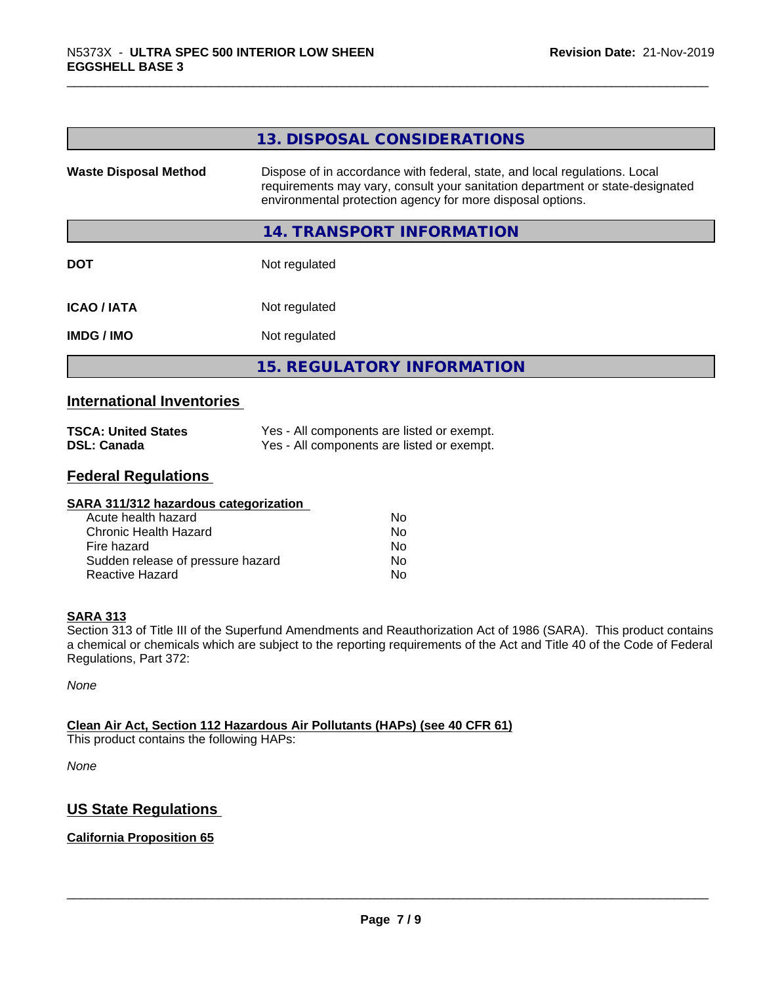|                              | 13. DISPOSAL CONSIDERATIONS                                                                                                                                                                                               |
|------------------------------|---------------------------------------------------------------------------------------------------------------------------------------------------------------------------------------------------------------------------|
| <b>Waste Disposal Method</b> | Dispose of in accordance with federal, state, and local regulations. Local<br>requirements may vary, consult your sanitation department or state-designated<br>environmental protection agency for more disposal options. |
|                              | 14. TRANSPORT INFORMATION                                                                                                                                                                                                 |
| <b>DOT</b>                   | Not regulated                                                                                                                                                                                                             |
| <b>ICAO / IATA</b>           | Not regulated                                                                                                                                                                                                             |
| <b>IMDG/IMO</b>              | Not regulated                                                                                                                                                                                                             |
|                              | <b>15. REGULATORY INFORMATION</b>                                                                                                                                                                                         |
|                              |                                                                                                                                                                                                                           |

### **International Inventories**

| <b>TSCA: United States</b> | Yes - All components are listed or exempt. |
|----------------------------|--------------------------------------------|
| <b>DSL: Canada</b>         | Yes - All components are listed or exempt. |

### **Federal Regulations**

| SARA 311/312 hazardous categorization |    |  |
|---------------------------------------|----|--|
| Acute health hazard                   | Nο |  |
| Chronic Health Hazard                 | No |  |
| Fire hazard                           | Nο |  |
| Sudden release of pressure hazard     | Nο |  |
| Reactive Hazard                       | No |  |

### **SARA 313**

Section 313 of Title III of the Superfund Amendments and Reauthorization Act of 1986 (SARA). This product contains a chemical or chemicals which are subject to the reporting requirements of the Act and Title 40 of the Code of Federal Regulations, Part 372:

*None*

### **Clean Air Act,Section 112 Hazardous Air Pollutants (HAPs) (see 40 CFR 61)**

This product contains the following HAPs:

*None*

### **US State Regulations**

### **California Proposition 65**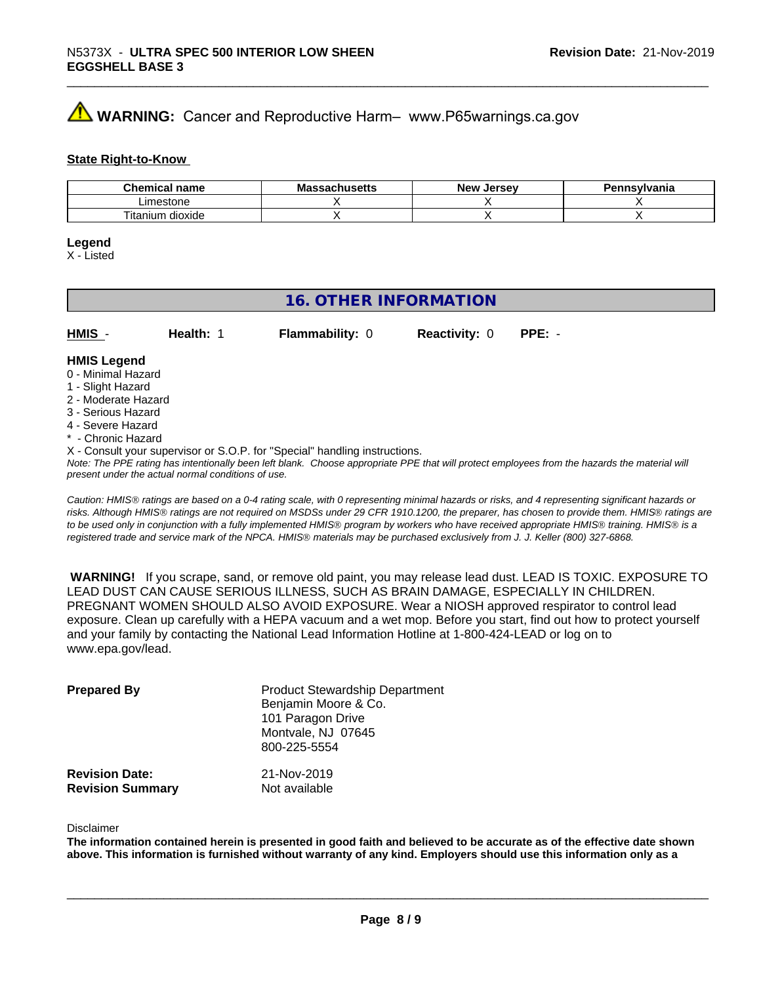## **A** WARNING: Cancer and Reproductive Harm– www.P65warnings.ca.gov

### **State Right-to-Know**

| Chemica<br>name<br>. ال <i>ان</i>       | IVIC<br>пиэспэ | <b>Jerse</b> v<br><b>Nev</b> | svivania |
|-----------------------------------------|----------------|------------------------------|----------|
| .<br>ım∆c<br>estone                     |                |                              |          |
| $- \cdot$<br><br>dioxide<br>itani<br>um |                |                              |          |

#### **Legend**

X - Listed

### **16. OTHER INFORMATION**

| HMIS               | Health: | <b>Flammability: 0</b> | <b>Reactivity: 0</b> | $PPE: -$ |  |
|--------------------|---------|------------------------|----------------------|----------|--|
| <b>HMIS Legend</b> |         |                        |                      |          |  |

#### 0 - Minimal Hazard

- 1 Slight Hazard
- 2 Moderate Hazard
- 3 Serious Hazard
- 4 Severe Hazard
- \* Chronic Hazard
- X Consult your supervisor or S.O.P. for "Special" handling instructions.

*Note: The PPE rating has intentionally been left blank. Choose appropriate PPE that will protect employees from the hazards the material will present under the actual normal conditions of use.*

*Caution: HMISÒ ratings are based on a 0-4 rating scale, with 0 representing minimal hazards or risks, and 4 representing significant hazards or risks. Although HMISÒ ratings are not required on MSDSs under 29 CFR 1910.1200, the preparer, has chosen to provide them. HMISÒ ratings are to be used only in conjunction with a fully implemented HMISÒ program by workers who have received appropriate HMISÒ training. HMISÒ is a registered trade and service mark of the NPCA. HMISÒ materials may be purchased exclusively from J. J. Keller (800) 327-6868.*

 **WARNING!** If you scrape, sand, or remove old paint, you may release lead dust. LEAD IS TOXIC. EXPOSURE TO LEAD DUST CAN CAUSE SERIOUS ILLNESS, SUCH AS BRAIN DAMAGE, ESPECIALLY IN CHILDREN. PREGNANT WOMEN SHOULD ALSO AVOID EXPOSURE.Wear a NIOSH approved respirator to control lead exposure. Clean up carefully with a HEPA vacuum and a wet mop. Before you start, find out how to protect yourself and your family by contacting the National Lead Information Hotline at 1-800-424-LEAD or log on to www.epa.gov/lead.

| <b>Prepared By</b>                               | <b>Product Stewardship Department</b><br>Benjamin Moore & Co.<br>101 Paragon Drive<br>Montvale, NJ 07645<br>800-225-5554 |  |
|--------------------------------------------------|--------------------------------------------------------------------------------------------------------------------------|--|
| <b>Revision Date:</b><br><b>Revision Summary</b> | 21-Nov-2019<br>Not available                                                                                             |  |

#### Disclaimer

The information contained herein is presented in good faith and believed to be accurate as of the effective date shown above. This information is furnished without warranty of any kind. Employers should use this information only as a